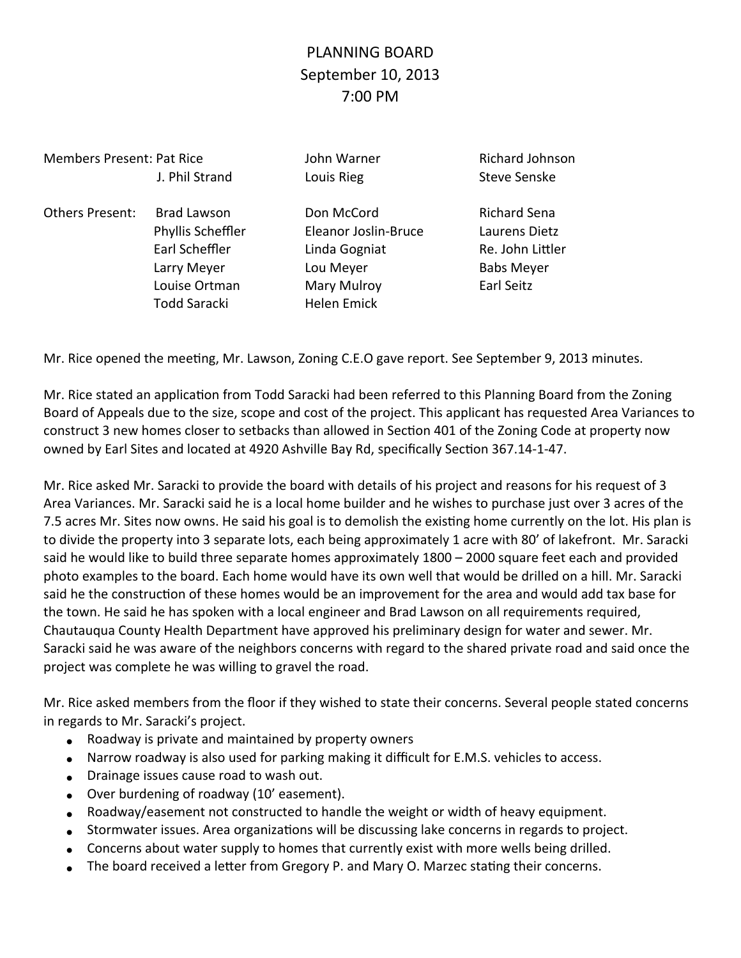## PLANNING BOARD September 10, 2013 7:00 PM

## Members Present: Pat Rice John Warner Richard Johnson

Others Present: Brad Lawson Don McCord Bichard Sena Todd Saracki **Helen Emick** 

J. Phil Strand Louis Rieg Communication Steve Senske

 Phyllis Scheffler Eleanor Joslin-Bruce Laurens Dietz Earl Scheffler Linda Gogniat Re. John Littler Larry Meyer **Lou Meyer Lou Meyer Babs Meyer** Louise Ortman Mary Mulroy **Mary Mulroy** Earl Seitz

Mr. Rice opened the meeting, Mr. Lawson, Zoning C.E.O gave report. See September 9, 2013 minutes.

Mr. Rice stated an application from Todd Saracki had been referred to this Planning Board from the Zoning Board of Appeals due to the size, scope and cost of the project. This applicant has requested Area Variances to construct 3 new homes closer to setbacks than allowed in Section 401 of the Zoning Code at property now owned by Earl Sites and located at 4920 Ashville Bay Rd, specifically Section 367.14-1-47.

Mr. Rice asked Mr. Saracki to provide the board with details of his project and reasons for his request of 3 Area Variances. Mr. Saracki said he is a local home builder and he wishes to purchase just over 3 acres of the 7.5 acres Mr. Sites now owns. He said his goal is to demolish the existing home currently on the lot. His plan is to divide the property into 3 separate lots, each being approximately 1 acre with 80' of lakefront. Mr. Saracki said he would like to build three separate homes approximately 1800 – 2000 square feet each and provided photo examples to the board. Each home would have its own well that would be drilled on a hill. Mr. Saracki said he the construction of these homes would be an improvement for the area and would add tax base for the town. He said he has spoken with a local engineer and Brad Lawson on all requirements required, Chautauqua County Health Department have approved his preliminary design for water and sewer. Mr. Saracki said he was aware of the neighbors concerns with regard to the shared private road and said once the project was complete he was willing to gravel the road.

Mr. Rice asked members from the floor if they wished to state their concerns. Several people stated concerns in regards to Mr. Saracki's project.

- Roadway is private and maintained by property owners
- Narrow roadway is also used for parking making it difficult for E.M.S. vehicles to access.
- Drainage issues cause road to wash out.
- Over burdening of roadway (10' easement).
- Roadway/easement not constructed to handle the weight or width of heavy equipment.
- Stormwater issues. Area organizations will be discussing lake concerns in regards to project.
- Concerns about water supply to homes that currently exist with more wells being drilled.
- The board received a letter from Gregory P. and Mary O. Marzec stating their concerns.